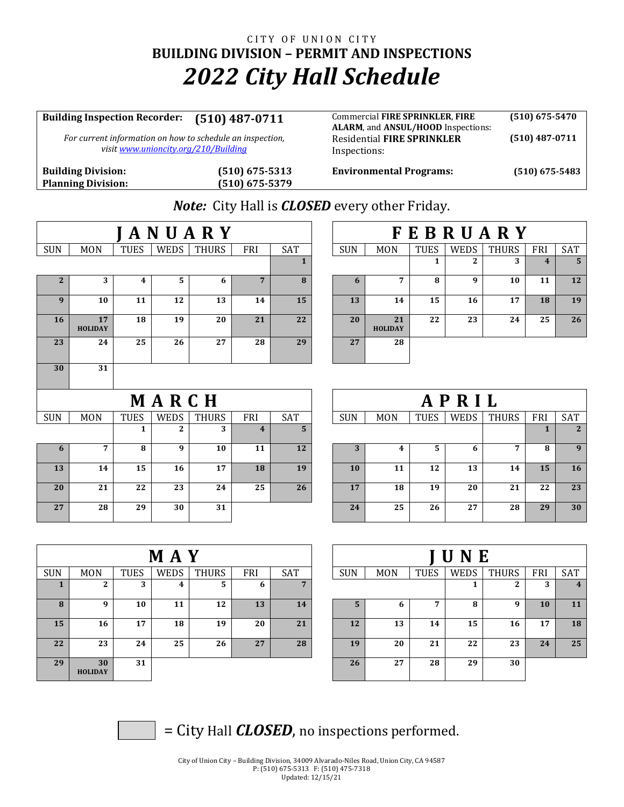## CITY OF UNION CITY **BUILDING DIVISION – PERMIT AND INSPECTIONS** *2022 City Hall Schedule*

## **Building Inspection Recorder: (510) 487-0711** Commercial **FIRE SPRINKLER**, **FIRE ALARM**, and **ANSUL/HOOD** Inspections: **(510) 675-5470** *For current information on how to schedule an inspection, visi[t www.unioncity.org/210/Building](http://www.unioncity.org/210/Building)* Residential **FIRE SPRINKLER**  Inspections: **(510) 487-0711**

**Planning Division: (510) 675-5379**

**Building Division: (510) 675-5313 Environmental Programs: (510) 675-5483**

*Note:* City Hall is *CLOSED* every other Friday.

|              |                      |                |              | <b>JANUARY</b> |                         |              | <b>FEBRUARY</b> |                      |              |              |              |                         |                |  |
|--------------|----------------------|----------------|--------------|----------------|-------------------------|--------------|-----------------|----------------------|--------------|--------------|--------------|-------------------------|----------------|--|
| <b>SUN</b>   | <b>MON</b>           | <b>TUES</b>    | <b>WEDS</b>  | <b>THURS</b>   | <b>FRI</b>              | SAT          | <b>SUN</b>      | <b>MON</b>           | <b>TUES</b>  | WEDS         | <b>THURS</b> | FRI                     | SAT            |  |
|              |                      |                |              |                |                         | $\mathbf{1}$ |                 |                      | $\mathbf{1}$ | $\mathbf{2}$ | 3            | $\overline{\mathbf{4}}$ | 5              |  |
| $\mathbf{2}$ | 3                    | $\overline{4}$ | 5            | 6              | $7^{\circ}$             | 8            | 6               | $\overline{7}$       | 8            | 9            | 10           | 11                      | 12             |  |
| 9            | 10                   | 11             | 12           | 13             | 14                      | 15           | 13              | 14                   | 15           | 16           | 17           | 18                      | 19             |  |
| <b>16</b>    | 17<br><b>HOLIDAY</b> | 18             | 19           | 20             | 21                      | 22           | 20              | 21<br><b>HOLIDAY</b> | 22           | 23           | 24           | 25                      | 26             |  |
| 23           | 24                   | 25             | 26           | 27             | 28                      | 29           | 27              | 28                   |              |              |              |                         |                |  |
| 30           | 31                   |                |              |                |                         |              |                 |                      |              |              |              |                         |                |  |
|              |                      |                | MARCH        |                |                         |              |                 |                      |              | APRIL        |              |                         |                |  |
| <b>SUN</b>   | <b>MON</b>           | <b>TUES</b>    | <b>WEDS</b>  | <b>THURS</b>   | FRI                     | SAT          | <b>SUN</b>      | <b>MON</b>           | <b>TUES</b>  | WEDS         | <b>THURS</b> | FRI                     | SAT            |  |
|              |                      | 1              | 2            | 3              | $\overline{\mathbf{4}}$ | 5            |                 |                      |              |              |              | $\mathbf{1}$            | $\overline{2}$ |  |
| 6            | 7                    | 8              | $\mathbf{q}$ | 10             | 11                      | <b>12</b>    | 3               | $\boldsymbol{4}$     | 5            | 6            | 7            | 8                       | 9              |  |
| 13           | 14                   | 15             | 16           | 17             | 18                      | 19           | 10              | 11                   | 12           | 13           | 14           | 15                      | 16             |  |
|              |                      |                |              |                |                         |              |                 |                      |              |              |              |                         |                |  |
| 20           | 21                   | 22             | 23           | 24             | 25                      | 26           | 17              | 18                   | 19           | 20           | 21           | 22                      |                |  |
| 27           | 28                   | 29             | 30           | 31             |                         |              | 24              | 25                   | 26           | 27           | 28           | 29                      | 23<br>30       |  |

|            |                      |             | <b>MAY</b> |              |     |              | <b>JUNE</b> |            |             |      |              |           |     |  |
|------------|----------------------|-------------|------------|--------------|-----|--------------|-------------|------------|-------------|------|--------------|-----------|-----|--|
| <b>SUN</b> | <b>MON</b>           | <b>TUES</b> | WEDS       | <b>THURS</b> | FRI | SAT          | <b>SUN</b>  | <b>MON</b> | <b>TUES</b> | WEDS | <b>THURS</b> | FRI       | SAT |  |
|            | - 2<br>∠             | 3           | 4          | 5.           | 6   | $\mathbf{r}$ |             |            |             |      | ◠<br>4       | 3         | 4   |  |
| 8          | 9                    | 10          | 11         | 12           | 13  | 14           | 5           | b          | 7           | 8    | 9            | <b>10</b> | 11  |  |
| 15         | 16                   | 17          | 18         | 19           | 20  | 21           | 12          | 13         | 14          | 15   | 16           | 17        | 18  |  |
| 22         | 23                   | 24          | 25         | 26           | 27  | 28           | 19          | 20         | 21          | 22   | 23           | 24        | 25  |  |
| 29         | 30<br><b>HOLIDAY</b> | 31          |            |              |     |              | 26          | 27         | 28          | 29   | 30           |           |     |  |

|                |                      |             | <b>MAY</b> |              |            |     | UNE        |            |             |      |              |     |            |  |  |
|----------------|----------------------|-------------|------------|--------------|------------|-----|------------|------------|-------------|------|--------------|-----|------------|--|--|
|                | <b>MON</b>           | <b>TUES</b> | WEDS       | <b>THURS</b> | <b>FRI</b> | SAT | <b>SUN</b> | <b>MON</b> | <b>TUES</b> | WEDS | <b>THURS</b> | FRI | <b>SAT</b> |  |  |
|                | 2                    | 3           | 4          | 5            | 6          | 7   |            |            |             |      | ◠            | 3   | 4          |  |  |
| 8              | 9                    | 10          | 11         | 12           | 13         | 14  | 5          | 6          |             | 8    | 9            | 10  | 11         |  |  |
| 5              | 16                   | 17          | 18         | 19           | 20         | 21  | 12         | 13         | 14          | 15   | 16           | 17  | 18         |  |  |
| $\overline{2}$ | 23                   | 24          | 25         | 26           | 27         | 28  | 19         | 20         | 21          | 22   | 23           | 24  | 25         |  |  |
| 9              | 30<br><b>HOLIDAY</b> | 31          |            |              |            |     | 26         | 27         | 28          | 29   | 30           |     |            |  |  |

= City Hall *CLOSED*, no inspections performed.